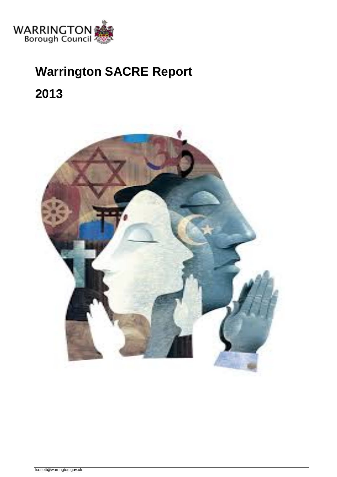

# **Warrington SACRE Report**

**2013** 

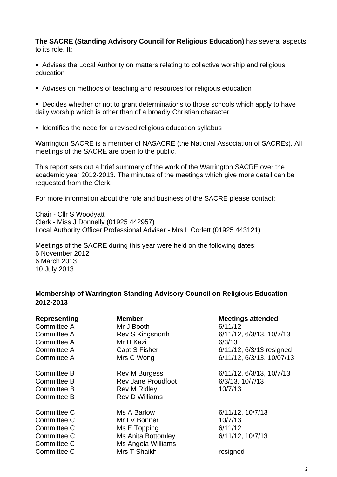**The SACRE (Standing Advisory Council for Religious Education)** has several aspects to its role. It:

 Advises the Local Authority on matters relating to collective worship and religious education

Advises on methods of teaching and resources for religious education

**Decides whether or not to grant determinations to those schools which apply to have** daily worship which is other than of a broadly Christian character

**IDENT** Identifies the need for a revised religious education syllabus

Warrington SACRE is a member of NASACRE (the National Association of SACREs). All meetings of the SACRE are open to the public.

This report sets out a brief summary of the work of the Warrington SACRE over the academic year 2012-2013. The minutes of the meetings which give more detail can be requested from the Clerk.

For more information about the role and business of the SACRE please contact:

Chair - Cllr S Woodyatt Clerk - Miss J Donnelly (01925 442957) Local Authority Officer Professional Adviser - Mrs L Corlett (01925 443121)

Meetings of the SACRE during this year were held on the following dates: 6 November 2012 6 March 2013 10 July 2013

# **Membership of Warrington Standing Advisory Council on Religious Education 2012-2013**

| <b>Representing</b><br>Committee A | <b>Member</b><br>Mr J Booth | <b>Meetings attended</b><br>6/11/12 |
|------------------------------------|-----------------------------|-------------------------------------|
| Committee A                        | Rev S Kingsnorth            | 6/11/12, 6/3/13, 10/7/13            |
| Committee A                        | Mr H Kazi                   | 6/3/13                              |
| Committee A                        | Capt S Fisher               | 6/11/12, 6/3/13 resigned            |
| Committee A                        | Mrs C Wong                  | 6/11/12, 6/3/13, 10/07/13           |
| Committee B                        | <b>Rev M Burgess</b>        | 6/11/12, 6/3/13, 10/7/13            |
| <b>Committee B</b>                 | <b>Rev Jane Proudfoot</b>   | 6/3/13, 10/7/13                     |
| Committee B                        | <b>Rev M Ridley</b>         | 10/7/13                             |
| Committee B                        | <b>Rev D Williams</b>       |                                     |
| Committee C                        | Ms A Barlow                 | 6/11/12, 10/7/13                    |
| Committee C                        | Mr I V Bonner               | 10/7/13                             |
| Committee C                        | Ms E Topping                | 6/11/12                             |
| Committee C                        | Ms Anita Bottomley          | 6/11/12, 10/7/13                    |
| Committee C                        | Ms Angela Williams          |                                     |
| Committee C                        | Mrs T Shaikh                | resigned                            |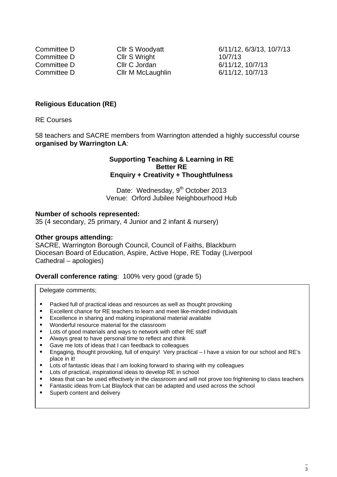Committee D Cllr S Wright 10/7/13 Committee D Cllr C Jordan 6/11/12, 10/7/13 Committee D Cllr M McLaughlin 6/11/12, 10/7/13

Committee D Cllr S Woodyatt 6/11/12, 6/3/13, 10/7/13

## **Religious Education (RE)**

RE Courses

58 teachers and SACRE members from Warrington attended a highly successful course **organised by Warrington LA**:

#### **Supporting Teaching & Learning in RE Better RE Enquiry + Creativity + Thoughtfulness**

Date: Wednesday, 9<sup>th</sup> October 2013 Venue: Orford Jubilee Neighbourhood Hub

#### **Number of schools represented:**

35 (4 secondary, 25 primary, 4 Junior and 2 infant & nursery)

#### **Other groups attending:**

SACRE, Warrington Borough Council, Council of Faiths, Blackburn Diocesan Board of Education, Aspire, Active Hope, RE Today (Liverpool Cathedral – apologies)

### **Overall conference rating: 100% very good (grade 5)**

Delegate comments;

- **Packed full of practical ideas and resources as well as thought provoking**
- Excellent chance for RE teachers to learn and meet like-minded individuals
- Excellence in sharing and making inspirational material available
- Wonderful resource material for the classroom
- Lots of good materials and ways to network with other RE staff
- Always great to have personal time to reflect and think
- Gave me lots of ideas that I can feedback to colleagues
- Engaging, thought provoking, full of enquiry! Very practical I have a vision for our school and RE's place in it!
- Lots of fantastic ideas that I am looking forward to sharing with my colleagues
- Lots of practical, inspirational ideas to develop RE in school
- Ideas that can be used effectively in the classroom and will not prove too frightening to class teachers
- Fantastic ideas from Lat Blaylock that can be adapted and used across the school
- **Superb content and delivery**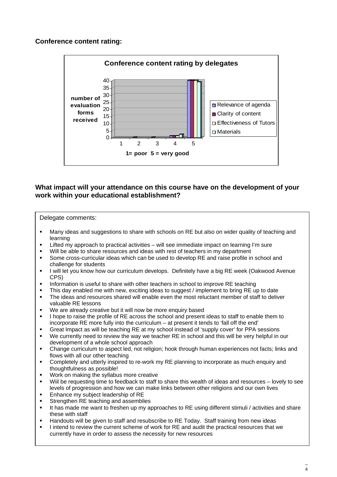# **Conference content rating:**



# **What impact will your attendance on this course have on the development of your work within your educational establishment?**

#### Delegate comments:

- Many ideas and suggestions to share with schools on RE but also on wider quality of teaching and learning
- Lifted my approach to practical activities will see immediate impact on learning I'm sure
- Will be able to share resources and ideas with rest of teachers in my department
- Some cross-curricular ideas which can be used to develop RE and raise profile in school and challenge for students
- I will let you know how our curriculum develops. Definitely have a big RE week (Oakwood Avenue CPS)
- Information is useful to share with other teachers in school to improve RE teaching
- This day enabled me with new, exciting ideas to suggest / implement to bring RE up to date
- The ideas and resources shared will enable even the most reluctant member of staff to deliver valuable RE lessons
- We are already creative but it will now be more enquiry based
- I hope to raise the profile of RE across the school and present ideas to staff to enable them to incorporate RE more fully into the curriculum – at present it tends to 'fall off the end'
- Great Impact as will be teaching RE at my school instead of 'supply cover' for PPA sessions
- We currently need to review the way we teacher RE in school and this will be very helpful in our development of a whole school approach
- Change curriculum to aspect led, not religion; hook through human experiences not facts; links and flows with all our other teaching
- Completely and utterly inspired to re-work my RE planning to incorporate as much enquiry and thoughtfulness as possible!
- Work on making the syllabus more creative
- Wiil be requesting time to feedback to staff to share this wealth of ideas and resources lovely to see levels of progression and how we can make links between other religions and our own lives
- Enhance my subject leadership of RE
- Strengthen RE teaching and assemblies
- It has made me want to freshen up my approaches to RE using different stimuli / activities and share these with staff
- Handouts will be given to staff and resubscribe to RE Today. Staff training from new ideas
- I intend to review the current scheme of work for RE and audit the practical resources that we currently have in order to assess the necessity for new resources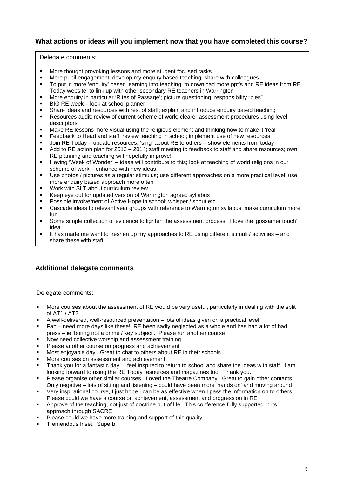# **What actions or ideas will you implement now that you have completed this course?**

Delegate comments:

- More thought provoking lessons and more student focused tasks
- More pupil engagement; develop my enquiry based teaching; share with colleagues
- To put in more 'enquiry' based learning into teaching; to download more ppt's and RE ideas from RE Today website; to link up with other secondary RE teachers in Warrington
- More enquiry in particular 'Rites of Passage'; picture questioning; responsibility "pies"
- BIG RE week look at school planner
- Share ideas and resources with rest of staff; explain and introduce enquiry based teaching
- Resources audit; review of current scheme of work; clearer assessment procedures using level descriptors
- Make RE lessons more visual using the religious element and thinking how to make it 'real'
- Feedback to Head and staff; review teaching in school; implement use of new resources
- Join RE Today update resources; 'sing' about RE to others show elements from today
- Add to RE action plan for 2013 2014; staff meeting to feedback to staff and share resources; own RE planning and teaching will hopefully improve!
- Having 'Week of Wonder' ideas will contribute to this; look at teaching of world religions in our scheme of work – enhance with new ideas
- Use photos / pictures as a regular stimulus; use different approaches on a more practical level; use more enquiry based approach more often
- Work with SLT about curriculum review
- Keep eye out for updated version of Warrington agreed syllabus
- **Possible involvement of Active Hope in school; whisper / shout etc.**
- Cascade ideas to relevant year groups with reference to Warrington syllabus; make curriculum more fun
- Some simple collection of evidence to lighten the assessment process. I love the 'gossamer touch' idea.
- It has made me want to freshen up my approaches to RE using different stimuli / activities and share these with staff

# **Additional delegate comments**

Delegate comments:

- More courses about the assessment of RE would be very useful, particularly in dealing with the split of AT1 / AT2
- A well-delivered, well-resourced presentation lots of ideas given on a practical level
- Fab need more days like these! RE been sadly neglected as a whole and has had a lot of bad press – ie 'boring not a prime / key subject'. Please run another course
- Now need collective worship and assessment training
- Please another course on progress and achievement
- Most enjoyable day. Great to chat to others about RE in their schools
- **More courses on assessment and achievement**
- Thank you for a fantastic day. I feel inspired to return to school and share the ideas with staff. I am looking forward to using the RE Today resources and magazines too. Thank you.
- Please organise other similar courses. Loved the Theatre Company. Great to gain other contacts. Only negative – lots of sitting and listening – could have been more 'hands on' and moving around
- Very inspirational course, I just hope I can be as effective when I pass the information on to others. Please could we have a course on achievement, assessment and progression in RE
- Approve of the teaching, not just of doctrine but of life. This conference fully supported in its approach through SACRE
- **Please could we have more training and support of this quality**
- **Tremendous Inset. Superb!**